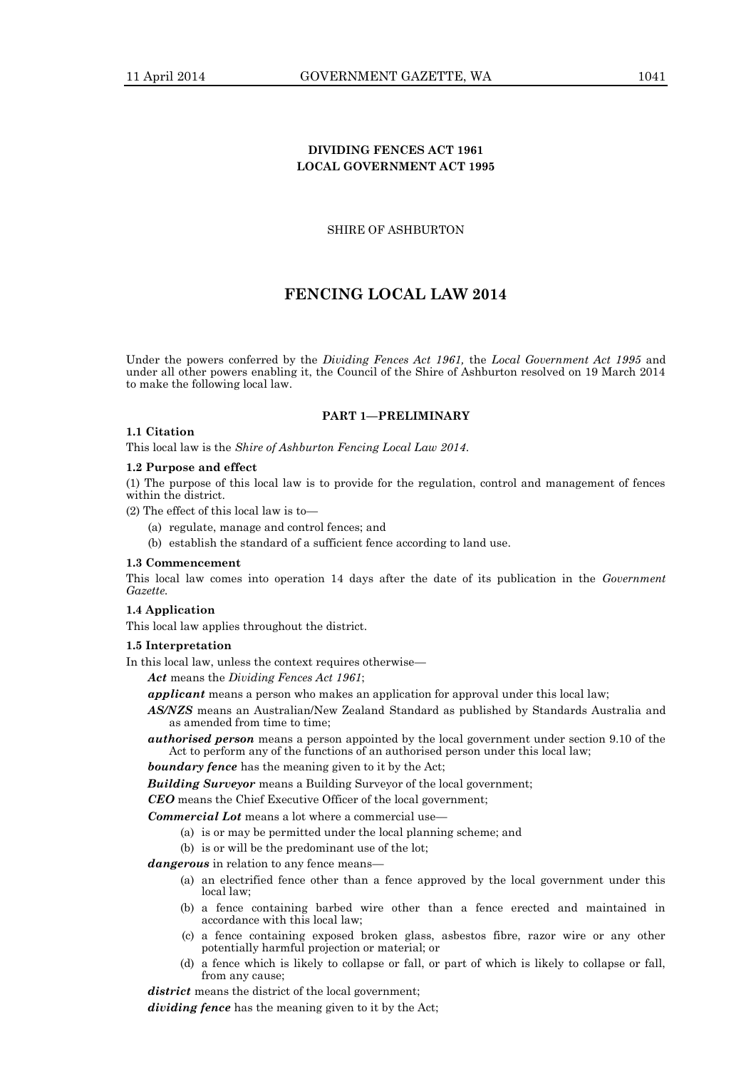# **DIVIDING FENCES ACT 1961 LOCAL GOVERNMENT ACT 1995**

# SHIRE OF ASHBURTON

# **FENCING LOCAL LAW 2014**

Under the powers conferred by the *Dividing Fences Act 1961,* the *Local Government Act 1995* and under all other powers enabling it, the Council of the Shire of Ashburton resolved on 19 March 2014 to make the following local law.

## **PART 1—PRELIMINARY**

# **1.1 Citation**

This local law is the *Shire of Ashburton Fencing Local Law 2014*.

# **1.2 Purpose and effect**

(1) The purpose of this local law is to provide for the regulation, control and management of fences within the district.

(2) The effect of this local law is to—

- (a) regulate, manage and control fences; and
- (b) establish the standard of a sufficient fence according to land use.

# **1.3 Commencement**

This local law comes into operation 14 days after the date of its publication in the *Government Gazette.*

# **1.4 Application**

This local law applies throughout the district.

# **1.5 Interpretation**

In this local law, unless the context requires otherwise—

*Act* means the *Dividing Fences Act 1961*;

- *applicant* means a person who makes an application for approval under this local law;
- *AS/NZS* means an Australian/New Zealand Standard as published by Standards Australia and as amended from time to time;
- *authorised person* means a person appointed by the local government under section 9.10 of the Act to perform any of the functions of an authorised person under this local law;

*boundary fence* has the meaning given to it by the Act;

*Building Surveyor* means a Building Surveyor of the local government;

*CEO* means the Chief Executive Officer of the local government;

# *Commercial Lot* means a lot where a commercial use—

- (a) is or may be permitted under the local planning scheme; and
- (b) is or will be the predominant use of the lot;

*dangerous* in relation to any fence means—

- (a) an electrified fence other than a fence approved by the local government under this local law;
- (b) a fence containing barbed wire other than a fence erected and maintained in accordance with this local law;
- (c) a fence containing exposed broken glass, asbestos fibre, razor wire or any other potentially harmful projection or material; or
- (d) a fence which is likely to collapse or fall, or part of which is likely to collapse or fall, from any cause;

district means the district of the local government; *dividing fence* has the meaning given to it by the Act;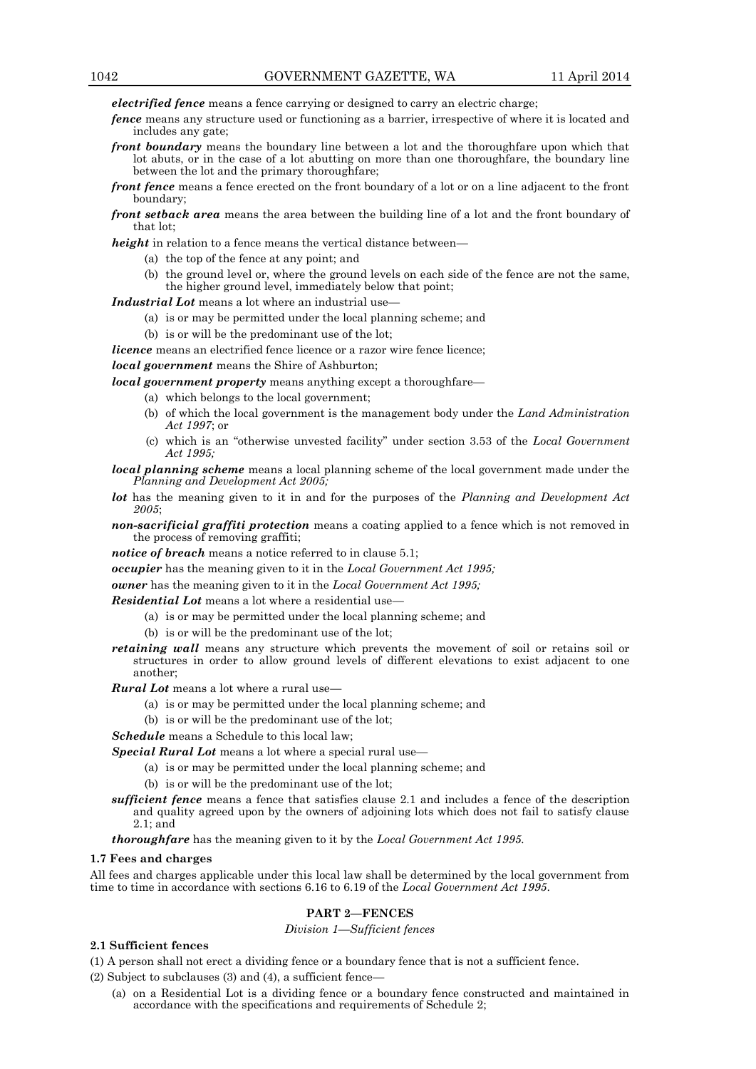*electrified fence* means a fence carrying or designed to carry an electric charge;

- *fence* means any structure used or functioning as a barrier, irrespective of where it is located and includes any gate;
- *front boundary* means the boundary line between a lot and the thoroughfare upon which that lot abuts, or in the case of a lot abutting on more than one thoroughfare, the boundary line between the lot and the primary thoroughfare;
- *front fence* means a fence erected on the front boundary of a lot or on a line adjacent to the front boundary;
- *front setback area* means the area between the building line of a lot and the front boundary of that lot;

*height* in relation to a fence means the vertical distance between—

- (a) the top of the fence at any point; and
- (b) the ground level or, where the ground levels on each side of the fence are not the same, the higher ground level, immediately below that point;

*Industrial Lot* means a lot where an industrial use—

- (a) is or may be permitted under the local planning scheme; and
- (b) is or will be the predominant use of the lot;

*licence* means an electrified fence licence or a razor wire fence licence;

*local government* means the Shire of Ashburton;

*local government property* means anything except a thoroughfare—

- (a) which belongs to the local government;
- (b) of which the local government is the management body under the *Land Administration Act 1997*; or
- (c) which is an "otherwise unvested facility" under section 3.53 of the *Local Government Act 1995;*

*local planning scheme* means a local planning scheme of the local government made under the *Planning and Development Act 2005;*

- *lot* has the meaning given to it in and for the purposes of the *Planning and Development Act 2005*;
- *non-sacrificial graffiti protection* means a coating applied to a fence which is not removed in the process of removing graffiti;

*notice of breach* means a notice referred to in clause 5.1;

*occupier* has the meaning given to it in the *Local Government Act 1995;*

*owner* has the meaning given to it in the *Local Government Act 1995;*

*Residential Lot* means a lot where a residential use—

- (a) is or may be permitted under the local planning scheme; and
- (b) is or will be the predominant use of the lot;
- *retaining wall* means any structure which prevents the movement of soil or retains soil or structures in order to allow ground levels of different elevations to exist adjacent to one another;
- *Rural Lot* means a lot where a rural use—
	- (a) is or may be permitted under the local planning scheme; and
	- (b) is or will be the predominant use of the lot;

*Schedule* means a Schedule to this local law;

*Special Rural Lot* means a lot where a special rural use—

- (a) is or may be permitted under the local planning scheme; and
- (b) is or will be the predominant use of the lot;
- *sufficient fence* means a fence that satisfies clause 2.1 and includes a fence of the description and quality agreed upon by the owners of adjoining lots which does not fail to satisfy clause 2.1; and

*thoroughfare* has the meaning given to it by the *Local Government Act 1995.*

#### **1.7 Fees and charges**

All fees and charges applicable under this local law shall be determined by the local government from time to time in accordance with sections 6.16 to 6.19 of the *Local Government Act 1995*.

# **PART 2—FENCES**

*Division 1—Sufficient fences*

# **2.1 Sufficient fences**

(1) A person shall not erect a dividing fence or a boundary fence that is not a sufficient fence.

(2) Subject to subclauses (3) and (4), a sufficient fence—

(a) on a Residential Lot is a dividing fence or a boundary fence constructed and maintained in accordance with the specifications and requirements of Schedule 2;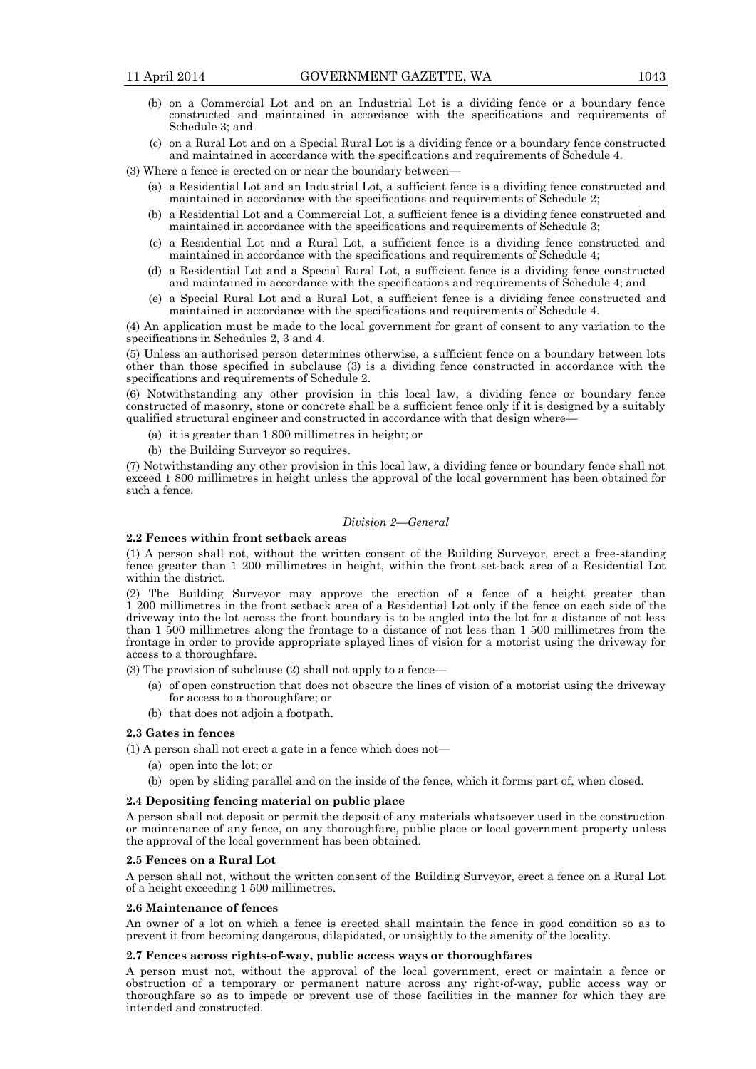- (b) on a Commercial Lot and on an Industrial Lot is a dividing fence or a boundary fence constructed and maintained in accordance with the specifications and requirements of Schedule 3; and
- (c) on a Rural Lot and on a Special Rural Lot is a dividing fence or a boundary fence constructed and maintained in accordance with the specifications and requirements of Schedule 4.

(3) Where a fence is erected on or near the boundary between—

- (a) a Residential Lot and an Industrial Lot, a sufficient fence is a dividing fence constructed and maintained in accordance with the specifications and requirements of Schedule 2;
- (b) a Residential Lot and a Commercial Lot, a sufficient fence is a dividing fence constructed and maintained in accordance with the specifications and requirements of Schedule 3;
- (c) a Residential Lot and a Rural Lot, a sufficient fence is a dividing fence constructed and maintained in accordance with the specifications and requirements of Schedule 4;
- (d) a Residential Lot and a Special Rural Lot, a sufficient fence is a dividing fence constructed and maintained in accordance with the specifications and requirements of Schedule 4; and
- (e) a Special Rural Lot and a Rural Lot, a sufficient fence is a dividing fence constructed and maintained in accordance with the specifications and requirements of Schedule 4.

(4) An application must be made to the local government for grant of consent to any variation to the specifications in Schedules 2, 3 and 4.

(5) Unless an authorised person determines otherwise, a sufficient fence on a boundary between lots other than those specified in subclause (3) is a dividing fence constructed in accordance with the specifications and requirements of Schedule 2.

(6) Notwithstanding any other provision in this local law, a dividing fence or boundary fence constructed of masonry, stone or concrete shall be a sufficient fence only if it is designed by a suitably qualified structural engineer and constructed in accordance with that design where—

- (a) it is greater than 1 800 millimetres in height; or
- (b) the Building Surveyor so requires.

(7) Notwithstanding any other provision in this local law, a dividing fence or boundary fence shall not exceed 1 800 millimetres in height unless the approval of the local government has been obtained for such a fence.

# *Division 2—General*

# **2.2 Fences within front setback areas**

(1) A person shall not, without the written consent of the Building Surveyor, erect a free-standing fence greater than 1 200 millimetres in height, within the front set-back area of a Residential Lot within the district.

(2) The Building Surveyor may approve the erection of a fence of a height greater than 1 200 millimetres in the front setback area of a Residential Lot only if the fence on each side of the driveway into the lot across the front boundary is to be angled into the lot for a distance of not less than 1 500 millimetres along the frontage to a distance of not less than 1 500 millimetres from the frontage in order to provide appropriate splayed lines of vision for a motorist using the driveway for access to a thoroughfare.

(3) The provision of subclause (2) shall not apply to a fence—

- (a) of open construction that does not obscure the lines of vision of a motorist using the driveway for access to a thoroughfare; or
- (b) that does not adjoin a footpath.

# **2.3 Gates in fences**

(1) A person shall not erect a gate in a fence which does not—

- (a) open into the lot; or
- (b) open by sliding parallel and on the inside of the fence, which it forms part of, when closed.

## **2.4 Depositing fencing material on public place**

A person shall not deposit or permit the deposit of any materials whatsoever used in the construction or maintenance of any fence, on any thoroughfare, public place or local government property unless the approval of the local government has been obtained.

#### **2.5 Fences on a Rural Lot**

A person shall not, without the written consent of the Building Surveyor, erect a fence on a Rural Lot of a height exceeding 1 500 millimetres.

## **2.6 Maintenance of fences**

An owner of a lot on which a fence is erected shall maintain the fence in good condition so as to prevent it from becoming dangerous, dilapidated, or unsightly to the amenity of the locality.

## **2.7 Fences across rights-of-way, public access ways or thoroughfares**

A person must not, without the approval of the local government, erect or maintain a fence or obstruction of a temporary or permanent nature across any right-of-way, public access way or thoroughfare so as to impede or prevent use of those facilities in the manner for which they are intended and constructed.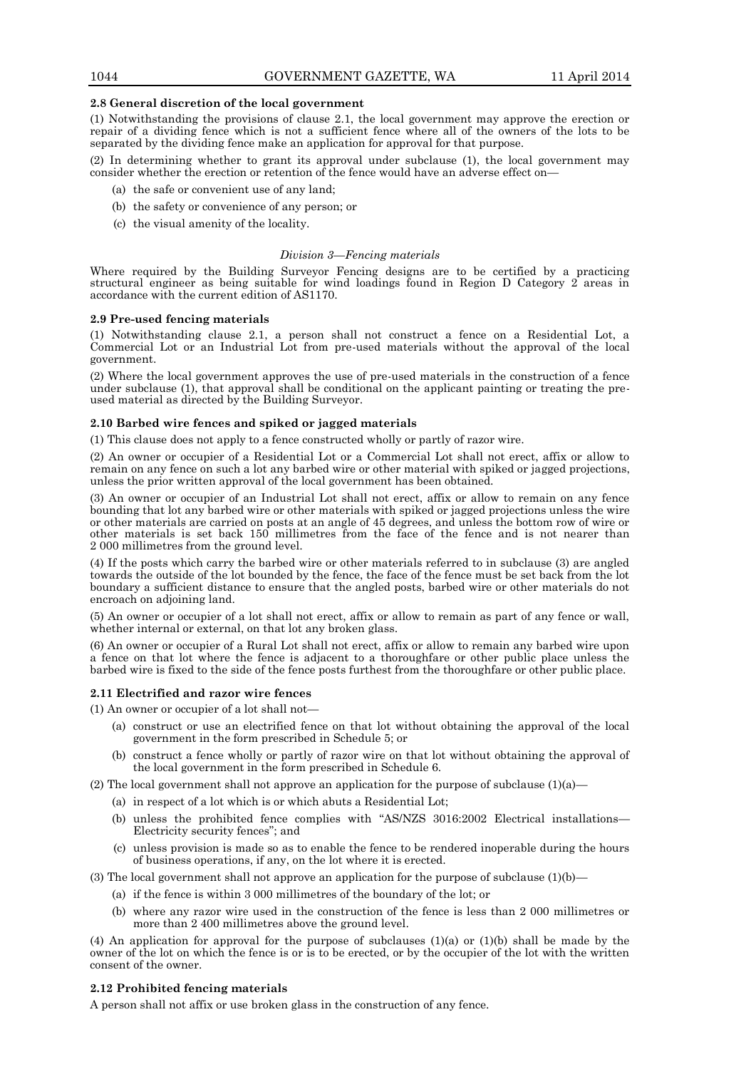## **2.8 General discretion of the local government**

(1) Notwithstanding the provisions of clause 2.1, the local government may approve the erection or repair of a dividing fence which is not a sufficient fence where all of the owners of the lots to be separated by the dividing fence make an application for approval for that purpose.

(2) In determining whether to grant its approval under subclause (1), the local government may consider whether the erection or retention of the fence would have an adverse effect on-

- (a) the safe or convenient use of any land;
- (b) the safety or convenience of any person; or
- (c) the visual amenity of the locality.

## *Division 3—Fencing materials*

Where required by the Building Surveyor Fencing designs are to be certified by a practicing structural engineer as being suitable for wind loadings found in Region D Category 2 areas in accordance with the current edition of AS1170.

## **2.9 Pre-used fencing materials**

(1) Notwithstanding clause 2.1, a person shall not construct a fence on a Residential Lot, a Commercial Lot or an Industrial Lot from pre-used materials without the approval of the local government.

(2) Where the local government approves the use of pre-used materials in the construction of a fence under subclause (1), that approval shall be conditional on the applicant painting or treating the preused material as directed by the Building Surveyor.

# **2.10 Barbed wire fences and spiked or jagged materials**

(1) This clause does not apply to a fence constructed wholly or partly of razor wire.

(2) An owner or occupier of a Residential Lot or a Commercial Lot shall not erect, affix or allow to remain on any fence on such a lot any barbed wire or other material with spiked or jagged projections, unless the prior written approval of the local government has been obtained.

(3) An owner or occupier of an Industrial Lot shall not erect, affix or allow to remain on any fence bounding that lot any barbed wire or other materials with spiked or jagged projections unless the wire or other materials are carried on posts at an angle of 45 degrees, and unless the bottom row of wire or other materials is set back 150 millimetres from the face of the fence and is not nearer than 2 000 millimetres from the ground level.

(4) If the posts which carry the barbed wire or other materials referred to in subclause (3) are angled towards the outside of the lot bounded by the fence, the face of the fence must be set back from the lot boundary a sufficient distance to ensure that the angled posts, barbed wire or other materials do not encroach on adjoining land.

(5) An owner or occupier of a lot shall not erect, affix or allow to remain as part of any fence or wall, whether internal or external, on that lot any broken glass.

(6) An owner or occupier of a Rural Lot shall not erect, affix or allow to remain any barbed wire upon a fence on that lot where the fence is adjacent to a thoroughfare or other public place unless the barbed wire is fixed to the side of the fence posts furthest from the thoroughfare or other public place.

## **2.11 Electrified and razor wire fences**

(1) An owner or occupier of a lot shall not—

- (a) construct or use an electrified fence on that lot without obtaining the approval of the local government in the form prescribed in Schedule 5; or
- (b) construct a fence wholly or partly of razor wire on that lot without obtaining the approval of the local government in the form prescribed in Schedule 6.

(2) The local government shall not approve an application for the purpose of subclause  $(1)(a)$ —

- (a) in respect of a lot which is or which abuts a Residential Lot;
- (b) unless the prohibited fence complies with "AS/NZS 3016:2002 Electrical installations— Electricity security fences"; and
- (c) unless provision is made so as to enable the fence to be rendered inoperable during the hours of business operations, if any, on the lot where it is erected.

(3) The local government shall not approve an application for the purpose of subclause  $(1)(b)$ —

- (a) if the fence is within 3 000 millimetres of the boundary of the lot; or
- (b) where any razor wire used in the construction of the fence is less than 2 000 millimetres or more than 2 400 millimetres above the ground level.

(4) An application for approval for the purpose of subclauses (1)(a) or (1)(b) shall be made by the owner of the lot on which the fence is or is to be erected, or by the occupier of the lot with the written consent of the owner.

# **2.12 Prohibited fencing materials**

A person shall not affix or use broken glass in the construction of any fence.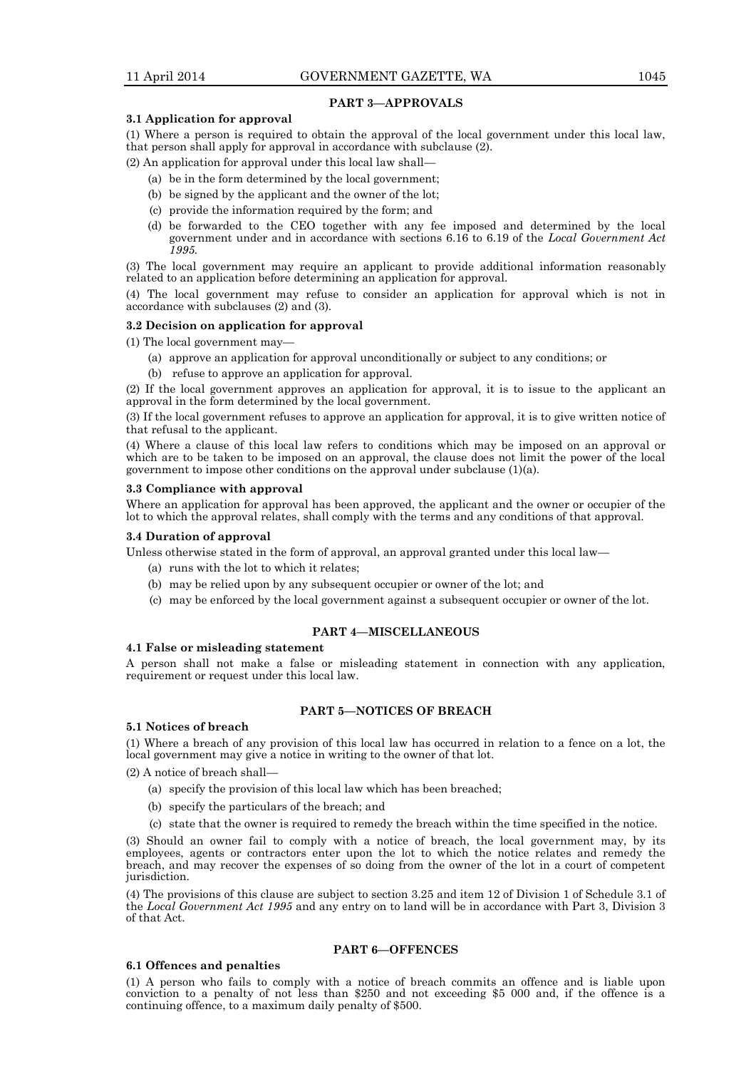## **PART 3—APPROVALS**

## **3.1 Application for approval**

(1) Where a person is required to obtain the approval of the local government under this local law, that person shall apply for approval in accordance with subclause (2).

(2) An application for approval under this local law shall—

- (a) be in the form determined by the local government;
- (b) be signed by the applicant and the owner of the lot;
- (c) provide the information required by the form; and
- (d) be forwarded to the CEO together with any fee imposed and determined by the local government under and in accordance with sections 6.16 to 6.19 of the *Local Government Act 1995.*

(3) The local government may require an applicant to provide additional information reasonably related to an application before determining an application for approval.

(4) The local government may refuse to consider an application for approval which is not in accordance with subclauses (2) and (3).

## **3.2 Decision on application for approval**

(1) The local government may—

- (a) approve an application for approval unconditionally or subject to any conditions; or
- (b) refuse to approve an application for approval.

(2) If the local government approves an application for approval, it is to issue to the applicant an approval in the form determined by the local government.

(3) If the local government refuses to approve an application for approval, it is to give written notice of that refusal to the applicant.

(4) Where a clause of this local law refers to conditions which may be imposed on an approval or which are to be taken to be imposed on an approval, the clause does not limit the power of the local government to impose other conditions on the approval under subclause (1)(a).

## **3.3 Compliance with approval**

Where an application for approval has been approved, the applicant and the owner or occupier of the lot to which the approval relates, shall comply with the terms and any conditions of that approval.

## **3.4 Duration of approval**

Unless otherwise stated in the form of approval, an approval granted under this local law—

- (a) runs with the lot to which it relates;
- (b) may be relied upon by any subsequent occupier or owner of the lot; and
- (c) may be enforced by the local government against a subsequent occupier or owner of the lot.

# **PART 4—MISCELLANEOUS**

## **4.1 False or misleading statement**

A person shall not make a false or misleading statement in connection with any application, requirement or request under this local law.

# **PART 5—NOTICES OF BREACH**

#### **5.1 Notices of breach**

(1) Where a breach of any provision of this local law has occurred in relation to a fence on a lot, the local government may give a notice in writing to the owner of that lot.

(2) A notice of breach shall—

- (a) specify the provision of this local law which has been breached;
- (b) specify the particulars of the breach; and
- (c) state that the owner is required to remedy the breach within the time specified in the notice.

(3) Should an owner fail to comply with a notice of breach, the local government may, by its employees, agents or contractors enter upon the lot to which the notice relates and remedy the breach, and may recover the expenses of so doing from the owner of the lot in a court of competent jurisdiction.

(4) The provisions of this clause are subject to section 3.25 and item 12 of Division 1 of Schedule 3.1 of the *Local Government Act 1995* and any entry on to land will be in accordance with Part 3, Division 3 of that Act.

# **PART 6—OFFENCES**

## **6.1 Offences and penalties**

(1) A person who fails to comply with a notice of breach commits an offence and is liable upon conviction to a penalty of not less than \$250 and not exceeding \$5 000 and, if the offence is a continuing offence, to a maximum daily penalty of \$500.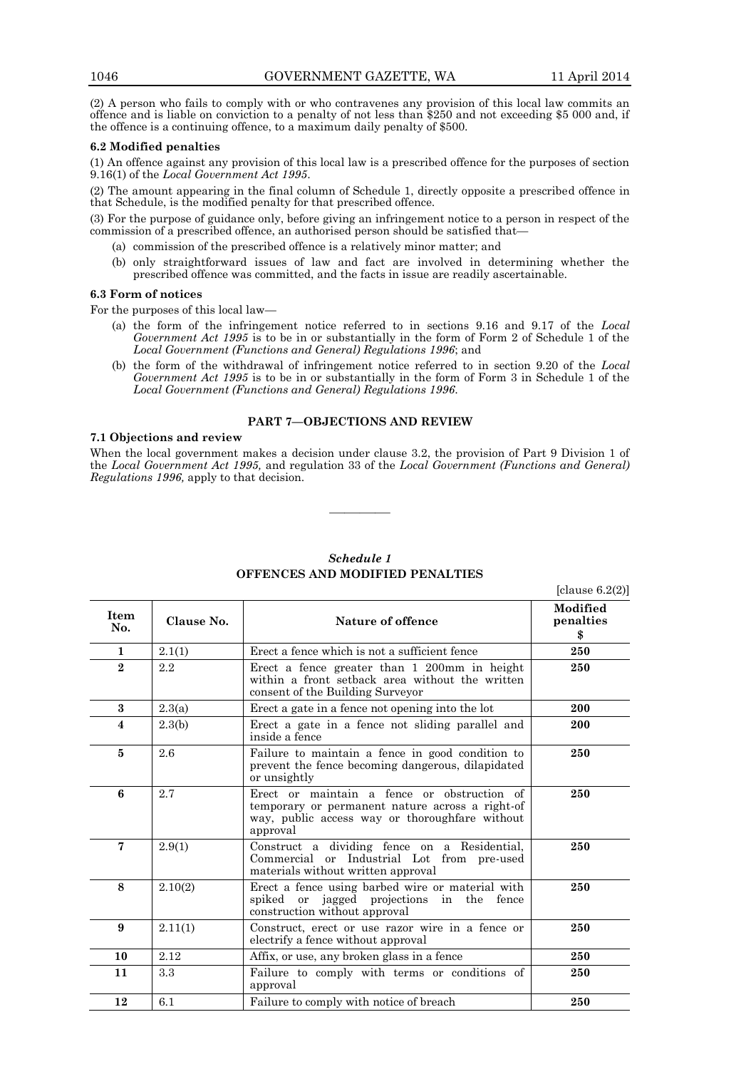(2) A person who fails to comply with or who contravenes any provision of this local law commits an offence and is liable on conviction to a penalty of not less than \$250 and not exceeding \$5 000 and, if the offence is a continuing offence, to a maximum daily penalty of \$500.

# **6.2 Modified penalties**

(1) An offence against any provision of this local law is a prescribed offence for the purposes of section 9.16(1) of the *Local Government Act 1995*.

(2) The amount appearing in the final column of Schedule 1, directly opposite a prescribed offence in that Schedule, is the modified penalty for that prescribed offence.

(3) For the purpose of guidance only, before giving an infringement notice to a person in respect of the commission of a prescribed offence, an authorised person should be satisfied that—

- (a) commission of the prescribed offence is a relatively minor matter; and
- (b) only straightforward issues of law and fact are involved in determining whether the prescribed offence was committed, and the facts in issue are readily ascertainable.

# **6.3 Form of notices**

For the purposes of this local law—

- (a) the form of the infringement notice referred to in sections 9.16 and 9.17 of the *Local Government Act 1995* is to be in or substantially in the form of Form 2 of Schedule 1 of the *Local Government (Functions and General) Regulations 1996*; and
- (b) the form of the withdrawal of infringement notice referred to in section 9.20 of the *Local Government Act 1995* is to be in or substantially in the form of Form 3 in Schedule 1 of the *Local Government (Functions and General) Regulations 1996*.

# **PART 7—OBJECTIONS AND REVIEW**

## **7.1 Objections and review**

When the local government makes a decision under clause 3.2, the provision of Part 9 Division 1 of the *Local Government Act 1995,* and regulation 33 of the *Local Government (Functions and General) Regulations 1996,* apply to that decision.

————

| Item<br>No.             | Clause No.<br>Nature of offence |                                                                                                                                                              | Modified<br>penalties<br>\$ |  |  |  |
|-------------------------|---------------------------------|--------------------------------------------------------------------------------------------------------------------------------------------------------------|-----------------------------|--|--|--|
| $\mathbf{1}$            | 2.1(1)                          | Erect a fence which is not a sufficient fence                                                                                                                | 250                         |  |  |  |
| $\bf{2}$                | 2.2                             | Erect a fence greater than 1 200mm in height<br>250<br>within a front setback area without the written<br>consent of the Building Surveyor                   |                             |  |  |  |
| 3                       | 2.3(a)                          | 200<br>Erect a gate in a fence not opening into the lot                                                                                                      |                             |  |  |  |
| $\overline{\mathbf{4}}$ | 2.3(b)                          | Erect a gate in a fence not sliding parallel and<br>inside a fence                                                                                           | 200                         |  |  |  |
| 5                       | 2.6                             | Failure to maintain a fence in good condition to<br>prevent the fence becoming dangerous, dilapidated<br>or unsightly                                        | 250                         |  |  |  |
| 6                       | 2.7                             | Erect or maintain a fence or obstruction of<br>temporary or permanent nature across a right-of<br>way, public access way or thoroughfare without<br>approval | 250                         |  |  |  |
| $\mathbf 7$             | 2.9(1)                          | Construct a dividing fence on a Residential,<br>Commercial or Industrial Lot from pre-used<br>materials without written approval                             | 250                         |  |  |  |
| 8                       | 2.10(2)                         | Erect a fence using barbed wire or material with<br>250<br>spiked or jagged projections in the fence<br>construction without approval                        |                             |  |  |  |
| 9                       | 2.11(1)                         | Construct, erect or use razor wire in a fence or<br>250<br>electrify a fence without approval                                                                |                             |  |  |  |
| 10                      | 2.12                            | Affix, or use, any broken glass in a fence<br>250                                                                                                            |                             |  |  |  |
| 11                      | 3.3                             | Failure to comply with terms or conditions of<br>approval                                                                                                    | 250                         |  |  |  |
| 12                      | 6.1                             | Failure to comply with notice of breach                                                                                                                      | 250                         |  |  |  |

# *Schedule 1* **OFFENCES AND MODIFIED PENALTIES**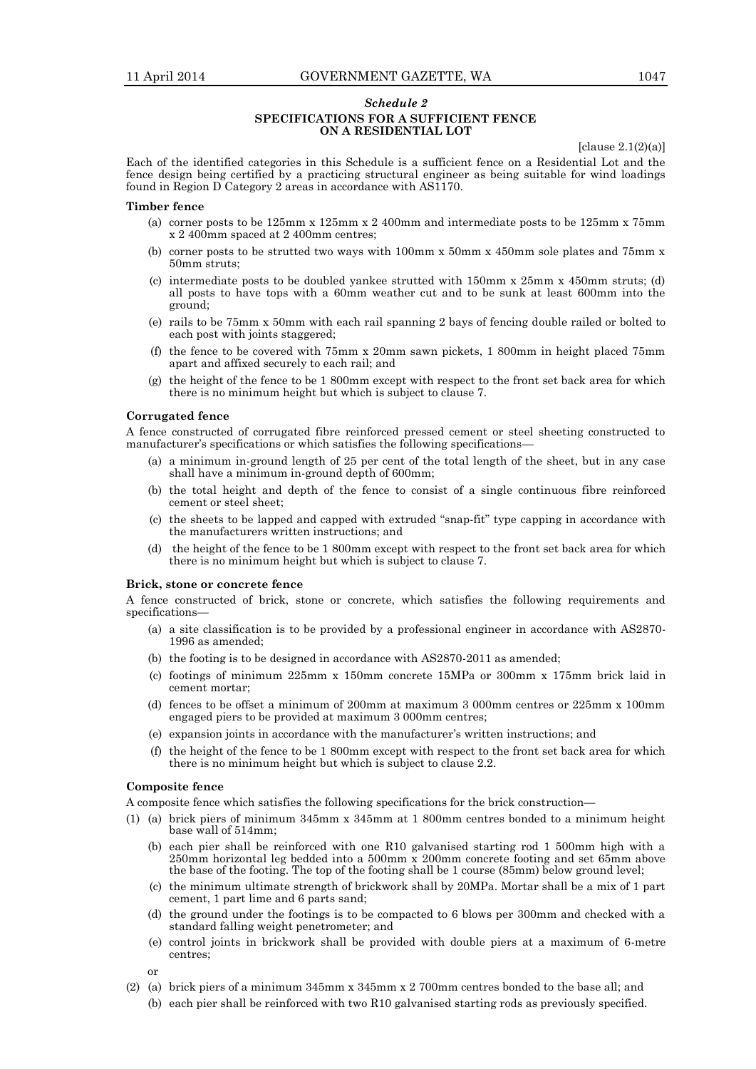# *Schedule 2* **SPECIFICATIONS FOR A SUFFICIENT FENCE ON A RESIDENTIAL LOT**

[clause  $2.1(2)(a)$ ]

Each of the identified categories in this Schedule is a sufficient fence on a Residential Lot and the fence design being certified by a practicing structural engineer as being suitable for wind loadings found in Region D Category 2 areas in accordance with AS1170.

#### **Timber fence**

- (a) corner posts to be 125mm x 125mm x 2 400mm and intermediate posts to be 125mm x 75mm x 2 400mm spaced at 2 400mm centres;
- (b) corner posts to be strutted two ways with 100mm x 50mm x 450mm sole plates and 75mm x 50mm struts;
- (c) intermediate posts to be doubled yankee strutted with 150mm x 25mm x 450mm struts; (d) all posts to have tops with a 60mm weather cut and to be sunk at least 600mm into the ground;
- (e) rails to be 75mm x 50mm with each rail spanning 2 bays of fencing double railed or bolted to each post with joints staggered;
- (f) the fence to be covered with 75mm x 20mm sawn pickets, 1 800mm in height placed 75mm apart and affixed securely to each rail; and
- (g) the height of the fence to be 1 800mm except with respect to the front set back area for which there is no minimum height but which is subject to clause 7.

## **Corrugated fence**

A fence constructed of corrugated fibre reinforced pressed cement or steel sheeting constructed to manufacturer's specifications or which satisfies the following specifications—

- (a) a minimum in-ground length of 25 per cent of the total length of the sheet, but in any case shall have a minimum in-ground depth of 600mm;
- (b) the total height and depth of the fence to consist of a single continuous fibre reinforced cement or steel sheet;
- (c) the sheets to be lapped and capped with extruded "snap-fit" type capping in accordance with the manufacturers written instructions; and
- (d) the height of the fence to be 1 800mm except with respect to the front set back area for which there is no minimum height but which is subject to clause 7.

## **Brick, stone or concrete fence**

A fence constructed of brick, stone or concrete, which satisfies the following requirements and specifications

- (a) a site classification is to be provided by a professional engineer in accordance with AS2870- 1996 as amended;
- (b) the footing is to be designed in accordance with AS2870-2011 as amended;
- (c) footings of minimum 225mm x 150mm concrete 15MPa or 300mm x 175mm brick laid in cement mortar;
- (d) fences to be offset a minimum of 200mm at maximum 3 000mm centres or 225mm x 100mm engaged piers to be provided at maximum 3 000mm centres;
- (e) expansion joints in accordance with the manufacturer's written instructions; and
- (f) the height of the fence to be 1 800mm except with respect to the front set back area for which there is no minimum height but which is subject to clause 2.2.

## **Composite fence**

A composite fence which satisfies the following specifications for the brick construction—

- (1) (a) brick piers of minimum 345mm x 345mm at 1 800mm centres bonded to a minimum height base wall of 514mm;
	- (b) each pier shall be reinforced with one R10 galvanised starting rod 1 500mm high with a 250mm horizontal leg bedded into a 500mm x 200mm concrete footing and set 65mm above the base of the footing. The top of the footing shall be 1 course (85mm) below ground level;
	- (c) the minimum ultimate strength of brickwork shall by 20MPa. Mortar shall be a mix of 1 part cement, 1 part lime and 6 parts sand;
	- (d) the ground under the footings is to be compacted to 6 blows per 300mm and checked with a standard falling weight penetrometer; and
	- (e) control joints in brickwork shall be provided with double piers at a maximum of 6-metre centres;
	- or
- (2) (a) brick piers of a minimum 345mm x 345mm x 2 700mm centres bonded to the base all; and
	- (b) each pier shall be reinforced with two R10 galvanised starting rods as previously specified.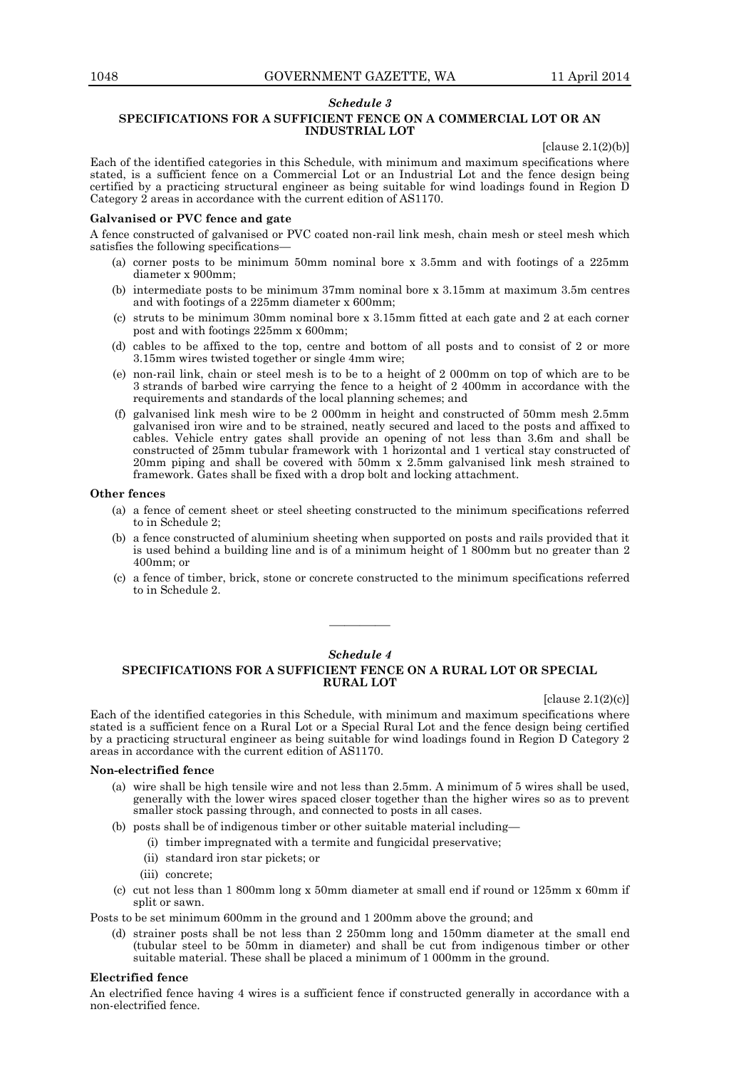## *Schedule 3*

# **SPECIFICATIONS FOR A SUFFICIENT FENCE ON A COMMERCIAL LOT OR AN INDUSTRIAL LOT**

 $[clause 2.1(2)(b)]$ 

Each of the identified categories in this Schedule, with minimum and maximum specifications where stated, is a sufficient fence on a Commercial Lot or an Industrial Lot and the fence design being certified by a practicing structural engineer as being suitable for wind loadings found in Region  $\check{D}$ Category 2 areas in accordance with the current edition of AS1170.

# **Galvanised or PVC fence and gate**

A fence constructed of galvanised or PVC coated non-rail link mesh, chain mesh or steel mesh which satisfies the following specifications—

- (a) corner posts to be minimum 50mm nominal bore x 3.5mm and with footings of a 225mm diameter x 900mm;
- (b) intermediate posts to be minimum 37mm nominal bore x 3.15mm at maximum 3.5m centres and with footings of a 225mm diameter x 600mm;
- (c) struts to be minimum 30mm nominal bore x 3.15mm fitted at each gate and 2 at each corner post and with footings 225mm x 600mm;
- (d) cables to be affixed to the top, centre and bottom of all posts and to consist of 2 or more 3.15mm wires twisted together or single 4mm wire;
- (e) non-rail link, chain or steel mesh is to be to a height of 2 000mm on top of which are to be 3 strands of barbed wire carrying the fence to a height of 2 400mm in accordance with the requirements and standards of the local planning schemes; and
- (f) galvanised link mesh wire to be 2 000mm in height and constructed of 50mm mesh 2.5mm galvanised iron wire and to be strained, neatly secured and laced to the posts and affixed to cables. Vehicle entry gates shall provide an opening of not less than 3.6m and shall be constructed of 25mm tubular framework with 1 horizontal and 1 vertical stay constructed of 20mm piping and shall be covered with 50mm x 2.5mm galvanised link mesh strained to framework. Gates shall be fixed with a drop bolt and locking attachment.

## **Other fences**

- (a) a fence of cement sheet or steel sheeting constructed to the minimum specifications referred to in Schedule 2;
- (b) a fence constructed of aluminium sheeting when supported on posts and rails provided that it is used behind a building line and is of a minimum height of 1 800mm but no greater than 2 400mm; or
- (c) a fence of timber, brick, stone or concrete constructed to the minimum specifications referred to in Schedule 2.

## *Schedule 4*

————

# **SPECIFICATIONS FOR A SUFFICIENT FENCE ON A RURAL LOT OR SPECIAL RURAL LOT**

[clause 2.1(2)(c)]

Each of the identified categories in this Schedule, with minimum and maximum specifications where stated is a sufficient fence on a Rural Lot or a Special Rural Lot and the fence design being certified by a practicing structural engineer as being suitable for wind loadings found in Region D Category 2 areas in accordance with the current edition of AS1170.

#### **Non-electrified fence**

- (a) wire shall be high tensile wire and not less than 2.5mm. A minimum of 5 wires shall be used, generally with the lower wires spaced closer together than the higher wires so as to prevent smaller stock passing through, and connected to posts in all cases.
- (b) posts shall be of indigenous timber or other suitable material including—
	- (i) timber impregnated with a termite and fungicidal preservative;
		- (ii) standard iron star pickets; or
		- (iii) concrete;
- (c) cut not less than 1 800mm long x 50mm diameter at small end if round or 125mm x 60mm if split or sawn.

Posts to be set minimum 600mm in the ground and 1 200mm above the ground; and

(d) strainer posts shall be not less than 2 250mm long and 150mm diameter at the small end (tubular steel to be 50mm in diameter) and shall be cut from indigenous timber or other suitable material. These shall be placed a minimum of 1 000mm in the ground.

## **Electrified fence**

An electrified fence having 4 wires is a sufficient fence if constructed generally in accordance with a non-electrified fence.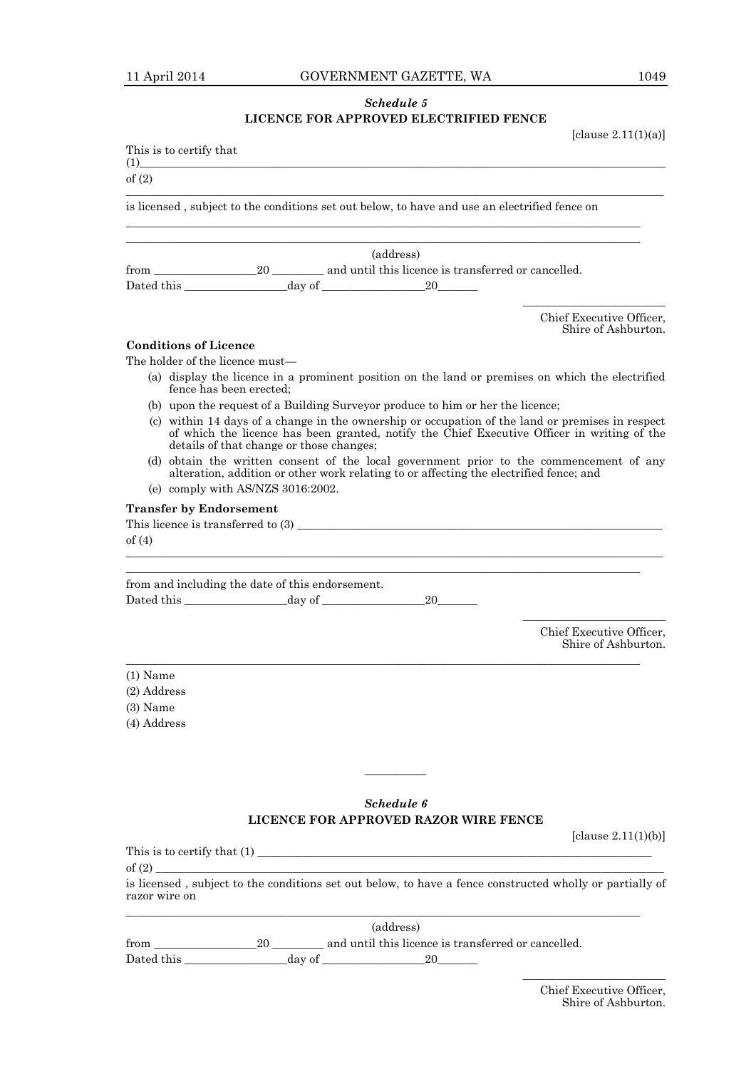# *Schedule 5* **LICENCE FOR APPROVED ELECTRIFIED FENCE**

[clause  $2.11(1)(a)$ ]

|                           | This is to certify that                                                                                                                                                                                                                     |  |                                                                                               |                                                                                                          |  |  |  |  |
|---------------------------|---------------------------------------------------------------------------------------------------------------------------------------------------------------------------------------------------------------------------------------------|--|-----------------------------------------------------------------------------------------------|----------------------------------------------------------------------------------------------------------|--|--|--|--|
| (1)<br>of $(2)$           |                                                                                                                                                                                                                                             |  |                                                                                               |                                                                                                          |  |  |  |  |
|                           |                                                                                                                                                                                                                                             |  | is licensed, subject to the conditions set out below, to have and use an electrified fence on |                                                                                                          |  |  |  |  |
|                           |                                                                                                                                                                                                                                             |  |                                                                                               |                                                                                                          |  |  |  |  |
|                           |                                                                                                                                                                                                                                             |  | (address)                                                                                     |                                                                                                          |  |  |  |  |
|                           |                                                                                                                                                                                                                                             |  | Dated this $\_\_\_\_\_$ day of $\_\_\_\_\_$ 20                                                |                                                                                                          |  |  |  |  |
|                           |                                                                                                                                                                                                                                             |  |                                                                                               |                                                                                                          |  |  |  |  |
|                           |                                                                                                                                                                                                                                             |  |                                                                                               | Chief Executive Officer,<br>Shire of Ashburton.                                                          |  |  |  |  |
|                           | <b>Conditions of Licence</b>                                                                                                                                                                                                                |  |                                                                                               |                                                                                                          |  |  |  |  |
|                           | The holder of the licence must—                                                                                                                                                                                                             |  |                                                                                               |                                                                                                          |  |  |  |  |
|                           | fence has been erected;                                                                                                                                                                                                                     |  |                                                                                               | (a) display the licence in a prominent position on the land or premises on which the electrified         |  |  |  |  |
|                           |                                                                                                                                                                                                                                             |  | (b) upon the request of a Building Surveyor produce to him or her the licence;                |                                                                                                          |  |  |  |  |
|                           | (c) within 14 days of a change in the ownership or occupation of the land or premises in respect<br>of which the licence has been granted, notify the Chief Executive Officer in writing of the<br>details of that change or those changes; |  |                                                                                               |                                                                                                          |  |  |  |  |
|                           | (d) obtain the written consent of the local government prior to the commencement of any<br>alteration, addition or other work relating to or affecting the electrified fence; and<br>(e) comply with AS/NZS 3016:2002.                      |  |                                                                                               |                                                                                                          |  |  |  |  |
|                           |                                                                                                                                                                                                                                             |  |                                                                                               |                                                                                                          |  |  |  |  |
|                           | <b>Transfer by Endorsement</b>                                                                                                                                                                                                              |  |                                                                                               |                                                                                                          |  |  |  |  |
| of $(4)$                  |                                                                                                                                                                                                                                             |  |                                                                                               |                                                                                                          |  |  |  |  |
|                           |                                                                                                                                                                                                                                             |  |                                                                                               |                                                                                                          |  |  |  |  |
|                           |                                                                                                                                                                                                                                             |  |                                                                                               |                                                                                                          |  |  |  |  |
|                           | from and including the date of this endorsement.                                                                                                                                                                                            |  |                                                                                               |                                                                                                          |  |  |  |  |
|                           |                                                                                                                                                                                                                                             |  | 20 —                                                                                          |                                                                                                          |  |  |  |  |
|                           |                                                                                                                                                                                                                                             |  |                                                                                               | Chief Executive Officer.<br>Shire of Ashburton.                                                          |  |  |  |  |
|                           |                                                                                                                                                                                                                                             |  |                                                                                               |                                                                                                          |  |  |  |  |
| $(1)$ Name                |                                                                                                                                                                                                                                             |  |                                                                                               |                                                                                                          |  |  |  |  |
| (2) Address<br>$(3)$ Name |                                                                                                                                                                                                                                             |  |                                                                                               |                                                                                                          |  |  |  |  |
| (4) Address               |                                                                                                                                                                                                                                             |  |                                                                                               |                                                                                                          |  |  |  |  |
|                           |                                                                                                                                                                                                                                             |  |                                                                                               |                                                                                                          |  |  |  |  |
|                           |                                                                                                                                                                                                                                             |  |                                                                                               |                                                                                                          |  |  |  |  |
|                           |                                                                                                                                                                                                                                             |  |                                                                                               |                                                                                                          |  |  |  |  |
|                           |                                                                                                                                                                                                                                             |  |                                                                                               |                                                                                                          |  |  |  |  |
|                           |                                                                                                                                                                                                                                             |  | Schedule 6                                                                                    |                                                                                                          |  |  |  |  |
|                           |                                                                                                                                                                                                                                             |  | LICENCE FOR APPROVED RAZOR WIRE FENCE                                                         |                                                                                                          |  |  |  |  |
|                           |                                                                                                                                                                                                                                             |  |                                                                                               | [clause $2.11(1)(b)$ ]                                                                                   |  |  |  |  |
|                           |                                                                                                                                                                                                                                             |  |                                                                                               |                                                                                                          |  |  |  |  |
| of $(2)$<br>razor wire on |                                                                                                                                                                                                                                             |  |                                                                                               | is licensed, subject to the conditions set out below, to have a fence constructed wholly or partially of |  |  |  |  |
|                           |                                                                                                                                                                                                                                             |  |                                                                                               |                                                                                                          |  |  |  |  |
|                           |                                                                                                                                                                                                                                             |  | (address)                                                                                     |                                                                                                          |  |  |  |  |
|                           | $\Omega$                                                                                                                                                                                                                                    |  | and until this ligance is transformed an equal led                                            |                                                                                                          |  |  |  |  |

from \_\_\_\_\_\_\_\_\_\_\_\_\_\_\_\_\_\_20 \_\_\_\_\_\_\_\_\_ and until this licence is transferred or cancelled. Dated this \_\_\_\_\_\_\_\_\_\_\_\_\_\_\_\_\_\_day of \_\_\_\_\_\_\_\_\_\_\_\_\_\_\_\_\_\_20\_\_\_\_\_\_\_

 $\overline{\phantom{a}}$  , which is a set of the set of the set of the set of the set of the set of the set of the set of the set of the set of the set of the set of the set of the set of the set of the set of the set of the set of th